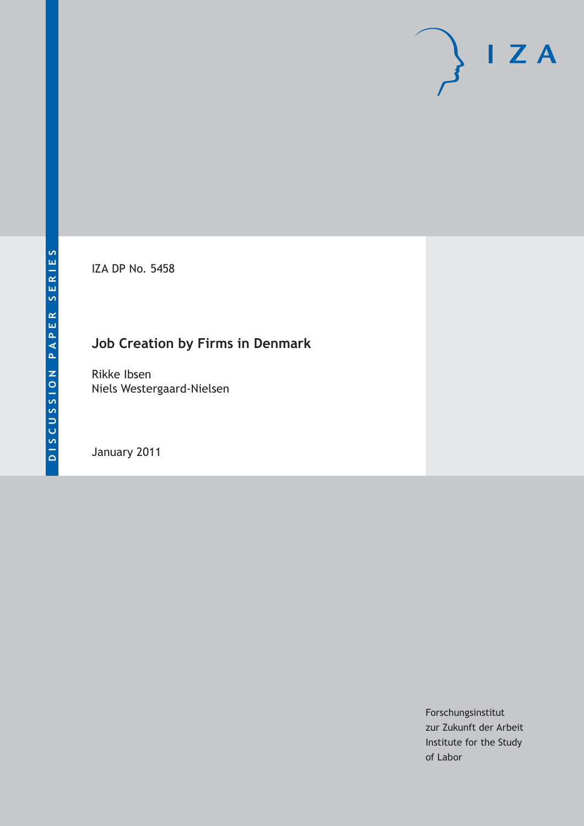IZA DP No. 5458

# **Job Creation by Firms in Denmark**

Rikke Ibsen Niels Westergaard-Nielsen

January 2011

Forschungsinstitut zur Zukunft der Arbeit Institute for the Study of Labor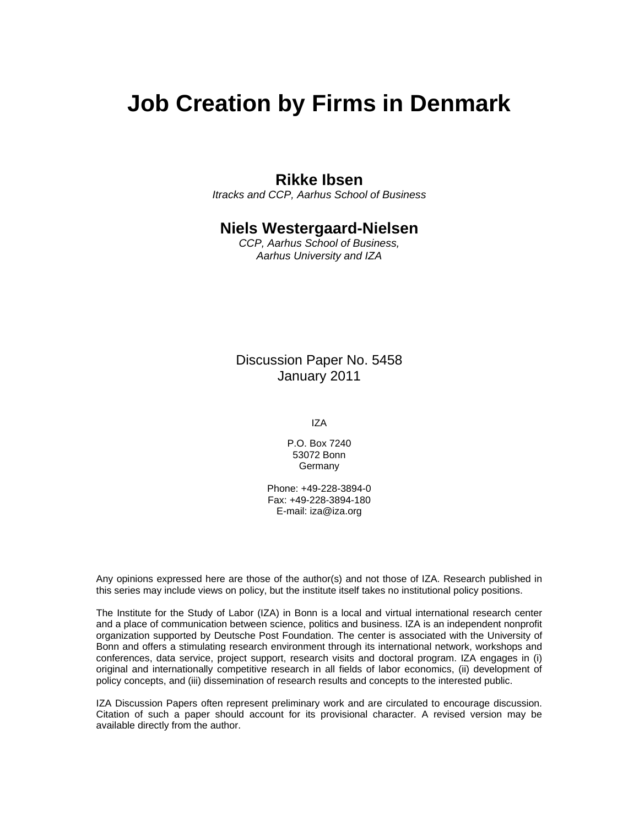# **Job Creation by Firms in Denmark**

# **Rikke Ibsen**

*Itracks and CCP, Aarhus School of Business* 

# **Niels Westergaard-Nielsen**

*CCP, Aarhus School of Business, Aarhus University and IZA* 

Discussion Paper No. 5458 January 2011

IZA

P.O. Box 7240 53072 Bonn Germany

Phone: +49-228-3894-0 Fax: +49-228-3894-180 E-mail: iza@iza.org

Any opinions expressed here are those of the author(s) and not those of IZA. Research published in this series may include views on policy, but the institute itself takes no institutional policy positions.

The Institute for the Study of Labor (IZA) in Bonn is a local and virtual international research center and a place of communication between science, politics and business. IZA is an independent nonprofit organization supported by Deutsche Post Foundation. The center is associated with the University of Bonn and offers a stimulating research environment through its international network, workshops and conferences, data service, project support, research visits and doctoral program. IZA engages in (i) original and internationally competitive research in all fields of labor economics, (ii) development of policy concepts, and (iii) dissemination of research results and concepts to the interested public.

IZA Discussion Papers often represent preliminary work and are circulated to encourage discussion. Citation of such a paper should account for its provisional character. A revised version may be available directly from the author.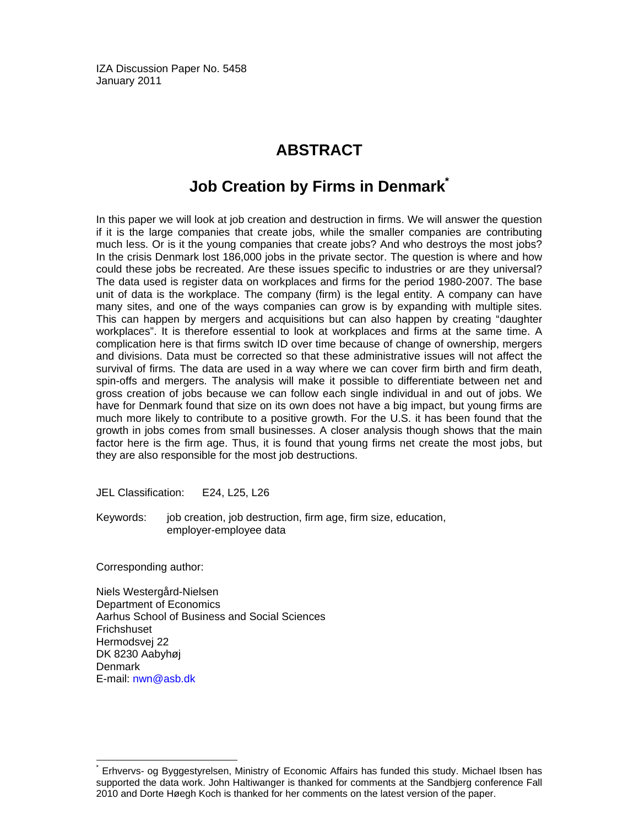IZA Discussion Paper No. 5458 January 2011

# **ABSTRACT**

# **Job Creation by Firms in Denmark\***

In this paper we will look at job creation and destruction in firms. We will answer the question if it is the large companies that create jobs, while the smaller companies are contributing much less. Or is it the young companies that create jobs? And who destroys the most jobs? In the crisis Denmark lost 186,000 jobs in the private sector. The question is where and how could these jobs be recreated. Are these issues specific to industries or are they universal? The data used is register data on workplaces and firms for the period 1980-2007. The base unit of data is the workplace. The company (firm) is the legal entity. A company can have many sites, and one of the ways companies can grow is by expanding with multiple sites. This can happen by mergers and acquisitions but can also happen by creating "daughter workplaces". It is therefore essential to look at workplaces and firms at the same time. A complication here is that firms switch ID over time because of change of ownership, mergers and divisions. Data must be corrected so that these administrative issues will not affect the survival of firms. The data are used in a way where we can cover firm birth and firm death, spin-offs and mergers. The analysis will make it possible to differentiate between net and gross creation of jobs because we can follow each single individual in and out of jobs. We have for Denmark found that size on its own does not have a big impact, but young firms are much more likely to contribute to a positive growth. For the U.S. it has been found that the growth in jobs comes from small businesses. A closer analysis though shows that the main factor here is the firm age. Thus, it is found that young firms net create the most jobs, but they are also responsible for the most job destructions.

JEL Classification: E24, L25, L26

Keywords: job creation, job destruction, firm age, firm size, education, employer-employee data

Corresponding author:

-

Niels Westergård-Nielsen Department of Economics Aarhus School of Business and Social Sciences Frichshuset Hermodsvej 22 DK 8230 Aabyhøj **Denmark** E-mail: nwn@asb.dk

<sup>\*</sup> Erhvervs- og Byggestyrelsen, Ministry of Economic Affairs has funded this study. Michael Ibsen has supported the data work. John Haltiwanger is thanked for comments at the Sandbjerg conference Fall 2010 and Dorte Høegh Koch is thanked for her comments on the latest version of the paper.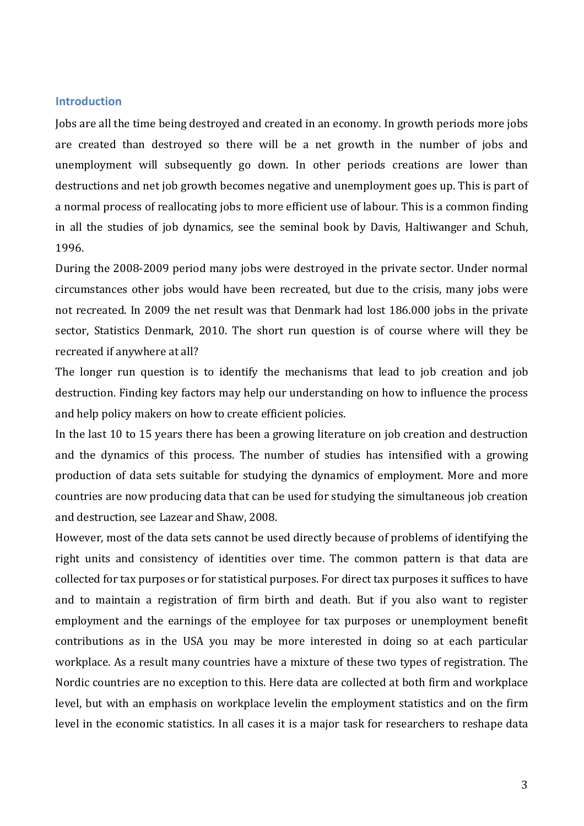## **Introduction**

Jobs are all the time being destroyed and created in an economy. In growth periods more jobs are created than destroyed so there will be a net growth in the number of jobs and unemployment will subsequently go down. In other periods creations are lower than destructions and net job growth becomes negative and unemployment goes up. This is part of a normal process of reallocating jobs to more efficient use of labour. This is a common finding in all the studies of job dynamics, see the seminal book by Davis, Haltiwanger and Schuh, 1996.

During the 2008-2009 period many jobs were destroyed in the private sector. Under normal circumstances other jobs would have been recreated, but due to the crisis, many jobs were not recreated. In 2009 the net result was that Denmark had lost 186.000 jobs in the private sector, Statistics Denmark, 2010. The short run question is of course where will they be recreated if anywhere at all?

The longer run question is to identify the mechanisms that lead to job creation and job destruction. Finding key factors may help our understanding on how to influence the process and help policy makers on how to create efficient policies.

In the last 10 to 15 years there has been a growing literature on job creation and destruction and the dynamics of this process. The number of studies has intensified with a growing production of data sets suitable for studying the dynamics of employment. More and more countries are now producing data that can be used for studying the simultaneous job creation and destruction, see Lazear and Shaw, 2008.

However, most of the data sets cannot be used directly because of problems of identifying the right units and consistency of identities over time. The common pattern is that data are collected for tax purposes or for statistical purposes. For direct tax purposes it suffices to have and to maintain a registration of firm birth and death. But if you also want to register employment and the earnings of the employee for tax purposes or unemployment benefit contributions as in the USA you may be more interested in doing so at each particular workplace. As a result many countries have a mixture of these two types of registration. The Nordic countries are no exception to this. Here data are collected at both firm and workplace level, but with an emphasis on workplace levelin the employment statistics and on the firm level in the economic statistics. In all cases it is a major task for researchers to reshape data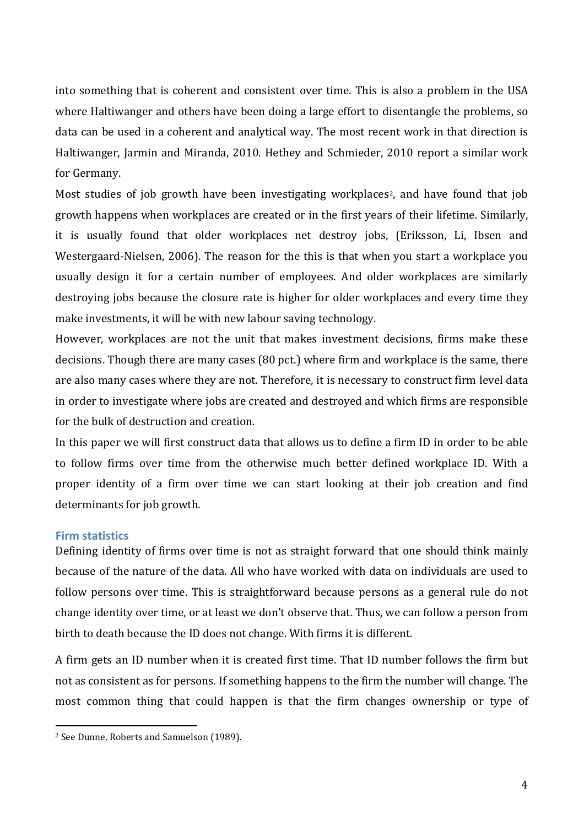into something that is coherent and consistent over time. This is also a problem in the USA where Haltiwanger and others have been doing a large effort to disentangle the problems, so data can be used in a coherent and analytical way. The most recent work in that direction is Haltiwanger, Jarmin and Miranda, 2010. Hethey and Schmieder, 2010 report a similar work for Germany.

Most studies of job growth have been investigating workplaces[2](#page-4-0) , and have found that job growth happens when workplaces are created or in the first years of their lifetime. Similarly, it is usually found that older workplaces net destroy jobs, (Eriksson, Li, Ibsen and Westergaard-Nielsen, 2006). The reason for the this is that when you start a workplace you usually design it for a certain number of employees. And older workplaces are similarly destroying jobs because the closure rate is higher for older workplaces and every time they make investments, it will be with new labour saving technology.

However, workplaces are not the unit that makes investment decisions, firms make these decisions. Though there are many cases (80 pct.) where firm and workplace is the same, there are also many cases where they are not. Therefore, it is necessary to construct firm level data in order to investigate where jobs are created and destroyed and which firms are responsible for the bulk of destruction and creation.

In this paper we will first construct data that allows us to define a firm ID in order to be able to follow firms over time from the otherwise much better defined workplace ID. With a proper identity of a firm over time we can start looking at their job creation and find determinants for job growth.

#### **Firm statistics**

Defining identity of firms over time is not as straight forward that one should think mainly because of the nature of the data. All who have worked with data on individuals are used to follow persons over time. This is straightforward because persons as a general rule do not change identity over time, or at least we don't observe that. Thus, we can follow a person from birth to death because the ID does not change. With firms it is different.

A firm gets an ID number when it is created first time. That ID number follows the firm but not as consistent as for persons. If something happens to the firm the number will change. The most common thing that could happen is that the firm changes ownership or type of

<span id="page-4-0"></span> <sup>2</sup> See Dunne, Roberts and Samuelson (1989).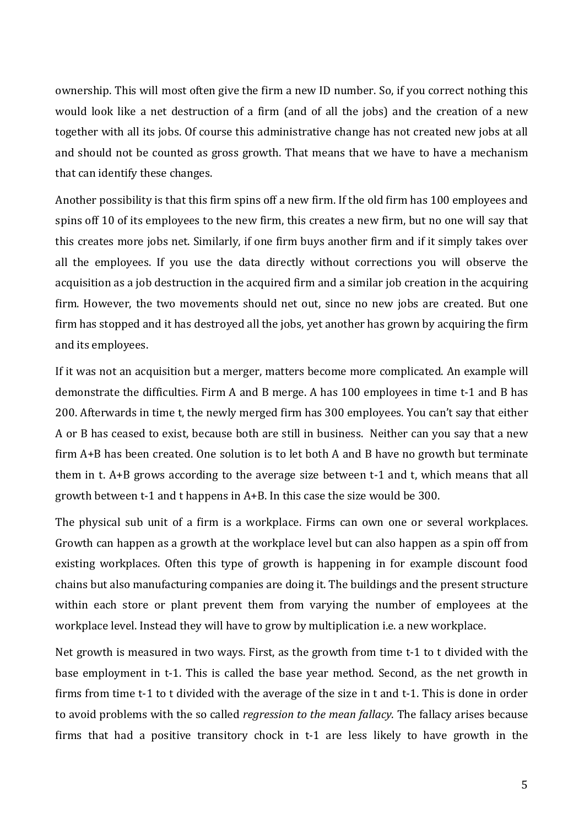ownership. This will most often give the firm a new ID number. So, if you correct nothing this would look like a net destruction of a firm (and of all the jobs) and the creation of a new together with all its jobs. Of course this administrative change has not created new jobs at all and should not be counted as gross growth. That means that we have to have a mechanism that can identify these changes.

Another possibility is that this firm spins off a new firm. If the old firm has 100 employees and spins off 10 of its employees to the new firm, this creates a new firm, but no one will say that this creates more jobs net. Similarly, if one firm buys another firm and if it simply takes over all the employees. If you use the data directly without corrections you will observe the acquisition as a job destruction in the acquired firm and a similar job creation in the acquiring firm. However, the two movements should net out, since no new jobs are created. But one firm has stopped and it has destroyed all the jobs, yet another has grown by acquiring the firm and its employees.

If it was not an acquisition but a merger, matters become more complicated. An example will demonstrate the difficulties. Firm A and B merge. A has 100 employees in time t-1 and B has 200. Afterwards in time t, the newly merged firm has 300 employees. You can't say that either A or B has ceased to exist, because both are still in business. Neither can you say that a new firm A+B has been created. One solution is to let both A and B have no growth but terminate them in t. A+B grows according to the average size between t-1 and t, which means that all growth between t-1 and t happens in A+B. In this case the size would be 300.

The physical sub unit of a firm is a workplace. Firms can own one or several workplaces. Growth can happen as a growth at the workplace level but can also happen as a spin off from existing workplaces. Often this type of growth is happening in for example discount food chains but also manufacturing companies are doing it. The buildings and the present structure within each store or plant prevent them from varying the number of employees at the workplace level. Instead they will have to grow by multiplication i.e. a new workplace.

Net growth is measured in two ways. First, as the growth from time t-1 to t divided with the base employment in t-1. This is called the base year method. Second, as the net growth in firms from time t-1 to t divided with the average of the size in t and t-1. This is done in order to avoid problems with the so called *regression to the mean fallacy*. The fallacy arises because firms that had a positive transitory chock in t-1 are less likely to have growth in the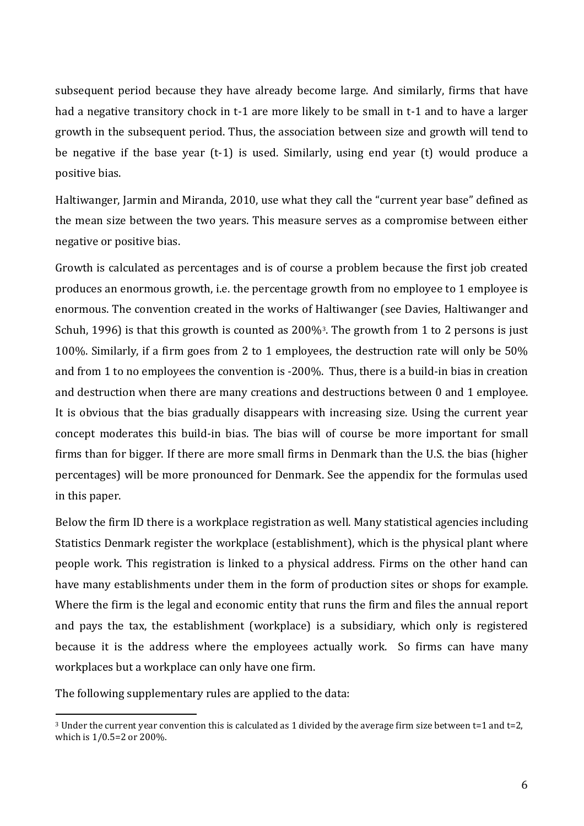subsequent period because they have already become large. And similarly, firms that have had a negative transitory chock in t-1 are more likely to be small in t-1 and to have a larger growth in the subsequent period. Thus, the association between size and growth will tend to be negative if the base year (t-1) is used. Similarly, using end year (t) would produce a positive bias.

Haltiwanger, Jarmin and Miranda, 2010, use what they call the "current year base" defined as the mean size between the two years. This measure serves as a compromise between either negative or positive bias.

Growth is calculated as percentages and is of course a problem because the first job created produces an enormous growth, i.e. the percentage growth from no employee to 1 employee is enormous. The convention created in the works of Haltiwanger (see Davies, Haltiwanger and Schuh, 1996) is that this growth is counted as 200%[3](#page-6-0) . The growth from 1 to 2 persons is just 100%. Similarly, if a firm goes from 2 to 1 employees, the destruction rate will only be 50% and from 1 to no employees the convention is -200%. Thus, there is a build-in bias in creation and destruction when there are many creations and destructions between 0 and 1 employee. It is obvious that the bias gradually disappears with increasing size. Using the current year concept moderates this build-in bias. The bias will of course be more important for small firms than for bigger. If there are more small firms in Denmark than the U.S. the bias (higher percentages) will be more pronounced for Denmark. See the appendix for the formulas used in this paper.

Below the firm ID there is a workplace registration as well. Many statistical agencies including Statistics Denmark register the workplace (establishment), which is the physical plant where people work. This registration is linked to a physical address. Firms on the other hand can have many establishments under them in the form of production sites or shops for example. Where the firm is the legal and economic entity that runs the firm and files the annual report and pays the tax, the establishment (workplace) is a subsidiary, which only is registered because it is the address where the employees actually work. So firms can have many workplaces but a workplace can only have one firm.

The following supplementary rules are applied to the data:

<span id="page-6-0"></span> $3$  Under the current year convention this is calculated as 1 divided by the average firm size between t=1 and t=2, which is 1/0.5=2 or 200%.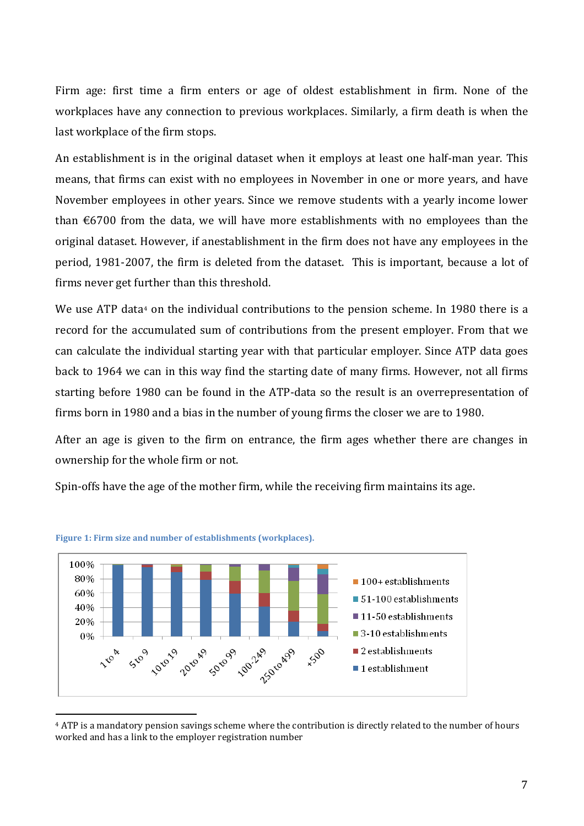Firm age: first time a firm enters or age of oldest establishment in firm. None of the workplaces have any connection to previous workplaces. Similarly, a firm death is when the last workplace of the firm stops.

An establishment is in the original dataset when it employs at least one half-man year. This means, that firms can exist with no employees in November in one or more years, and have November employees in other years. Since we remove students with a yearly income lower than  $\epsilon$ 6700 from the data, we will have more establishments with no employees than the original dataset. However, if anestablishment in the firm does not have any employees in the period, 1981-2007, the firm is deleted from the dataset. This is important, because a lot of firms never get further than this threshold.

We use ATP data<sup>[4](#page-7-0)</sup> on the individual contributions to the pension scheme. In 1980 there is a record for the accumulated sum of contributions from the present employer. From that we can calculate the individual starting year with that particular employer. Since ATP data goes back to 1964 we can in this way find the starting date of many firms. However, not all firms starting before 1980 can be found in the ATP-data so the result is an overrepresentation of firms born in 1980 and a bias in the number of young firms the closer we are to 1980.

After an age is given to the firm on entrance, the firm ages whether there are changes in ownership for the whole firm or not.

Spin-offs have the age of the mother firm, while the receiving firm maintains its age.





<span id="page-7-0"></span> <sup>4</sup> ATP is a mandatory pension savings scheme where the contribution is directly related to the number of hours worked and has a link to the employer registration number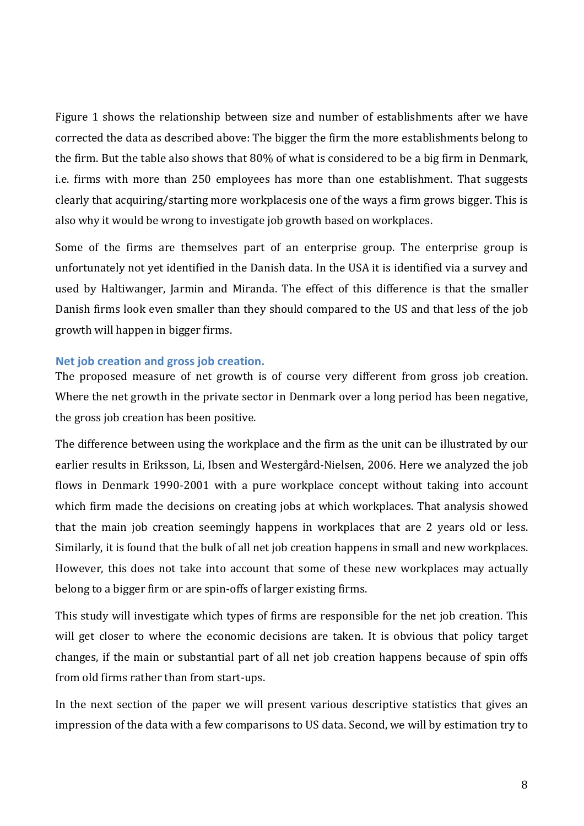Figure 1 shows the relationship between size and number of establishments after we have corrected the data as described above: The bigger the firm the more establishments belong to the firm. But the table also shows that 80% of what is considered to be a big firm in Denmark, i.e. firms with more than 250 employees has more than one establishment. That suggests clearly that acquiring/starting more workplacesis one of the ways a firm grows bigger. This is also why it would be wrong to investigate job growth based on workplaces.

Some of the firms are themselves part of an enterprise group. The enterprise group is unfortunately not yet identified in the Danish data. In the USA it is identified via a survey and used by Haltiwanger, Jarmin and Miranda. The effect of this difference is that the smaller Danish firms look even smaller than they should compared to the US and that less of the job growth will happen in bigger firms.

# **Net job creation and gross job creation.**

The proposed measure of net growth is of course very different from gross job creation. Where the net growth in the private sector in Denmark over a long period has been negative, the gross job creation has been positive.

The difference between using the workplace and the firm as the unit can be illustrated by our earlier results in Eriksson, Li, Ibsen and Westergård-Nielsen, 2006. Here we analyzed the job flows in Denmark 1990-2001 with a pure workplace concept without taking into account which firm made the decisions on creating jobs at which workplaces. That analysis showed that the main job creation seemingly happens in workplaces that are 2 years old or less. Similarly, it is found that the bulk of all net job creation happens in small and new workplaces. However, this does not take into account that some of these new workplaces may actually belong to a bigger firm or are spin-offs of larger existing firms.

This study will investigate which types of firms are responsible for the net job creation. This will get closer to where the economic decisions are taken. It is obvious that policy target changes, if the main or substantial part of all net job creation happens because of spin offs from old firms rather than from start-ups.

In the next section of the paper we will present various descriptive statistics that gives an impression of the data with a few comparisons to US data. Second, we will by estimation try to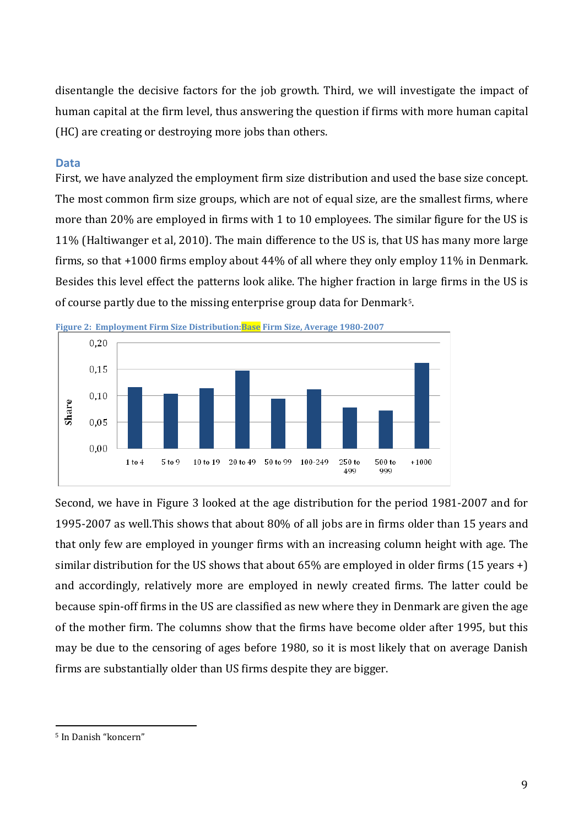disentangle the decisive factors for the job growth. Third, we will investigate the impact of human capital at the firm level, thus answering the question if firms with more human capital (HC) are creating or destroying more jobs than others.

## **Data**

First, we have analyzed the employment firm size distribution and used the base size concept. The most common firm size groups, which are not of equal size, are the smallest firms, where more than 20% are employed in firms with 1 to 10 employees. The similar figure for the US is 11% (Haltiwanger et al, 2010). The main difference to the US is, that US has many more large firms, so that +1000 firms employ about 44% of all where they only employ 11% in Denmark. Besides this level effect the patterns look alike. The higher fraction in large firms in the US is of course partly due to the missing enterprise group data for Denmark $\cdot$ .



**Figure 2: Employment Firm Size Distribution:Base Firm Size, Average 1980-2007** 

Second, we have in Figure 3 looked at the age distribution for the period 1981-2007 and for 1995-2007 as well.This shows that about 80% of all jobs are in firms older than 15 years and that only few are employed in younger firms with an increasing column height with age. The similar distribution for the US shows that about  $65\%$  are employed in older firms  $(15 \text{ years} +)$ and accordingly, relatively more are employed in newly created firms. The latter could be because spin-off firms in the US are classified as new where they in Denmark are given the age of the mother firm. The columns show that the firms have become older after 1995, but this may be due to the censoring of ages before 1980, so it is most likely that on average Danish firms are substantially older than US firms despite they are bigger.

<span id="page-9-0"></span> <sup>5</sup> In Danish "koncern"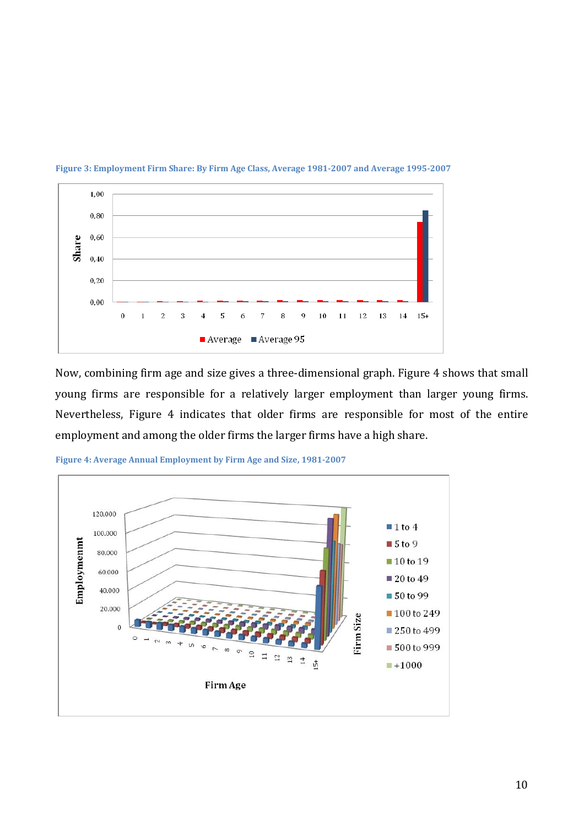

**Figure 3: Employment Firm Share: By Firm Age Class, Average 1981-2007 and Average 1995-2007**

Now, combining firm age and size gives a three-dimensional graph. Figure 4 shows that small young firms are responsible for a relatively larger employment than larger young firms. Nevertheless, Figure 4 indicates that older firms are responsible for most of the entire employment and among the older firms the larger firms have a high share.



**Figure 4: Average Annual Employment by Firm Age and Size, 1981-2007**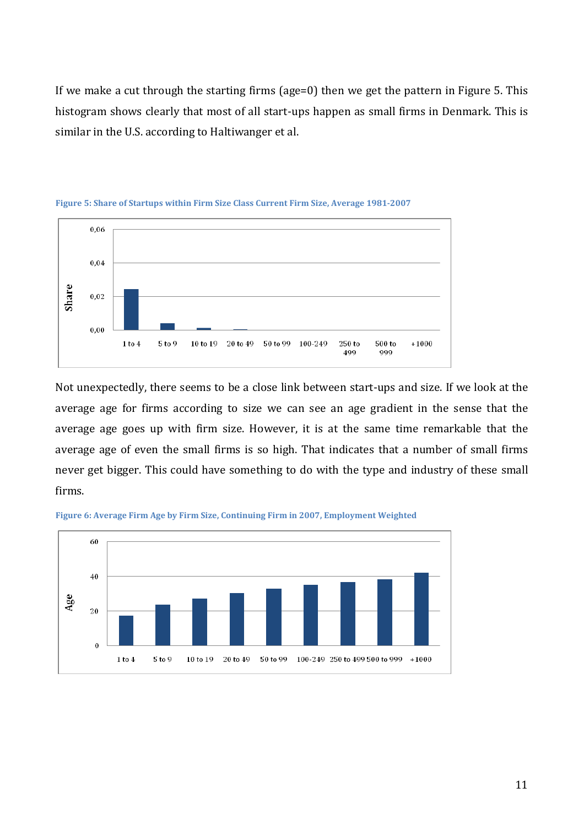If we make a cut through the starting firms (age=0) then we get the pattern in Figure 5. This histogram shows clearly that most of all start-ups happen as small firms in Denmark. This is similar in the U.S. according to Haltiwanger et al.



**Figure 5: Share of Startups within Firm Size Class Current Firm Size, Average 1981-2007**

Not unexpectedly, there seems to be a close link between start-ups and size. If we look at the average age for firms according to size we can see an age gradient in the sense that the average age goes up with firm size. However, it is at the same time remarkable that the average age of even the small firms is so high. That indicates that a number of small firms never get bigger. This could have something to do with the type and industry of these small firms.



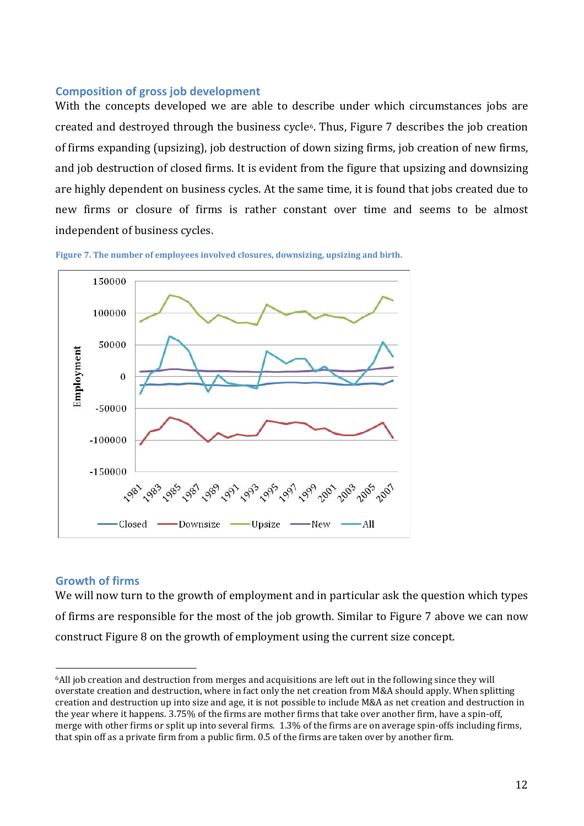#### **Composition of gross job development**

With the concepts developed we are able to describe under which circumstances jobs are created and destroyed through the business cycle[6](#page-12-0). Thus, Figure 7 describes the job creation of firms expanding (upsizing), job destruction of down sizing firms, job creation of new firms, and job destruction of closed firms. It is evident from the figure that upsizing and downsizing are highly dependent on business cycles. At the same time, it is found that jobs created due to new firms or closure of firms is rather constant over time and seems to be almost independent of business cycles.





# **Growth of firms**

We will now turn to the growth of employment and in particular ask the question which types of firms are responsible for the most of the job growth. Similar to Figure 7 above we can now construct Figure 8 on the growth of employment using the current size concept.

<span id="page-12-0"></span> <sup>6</sup>All job creation and destruction from merges and acquisitions are left out in the following since they will overstate creation and destruction, where in fact only the net creation from M&A should apply. When splitting creation and destruction up into size and age, it is not possible to include M&A as net creation and destruction in the year where it happens. 3.75% of the firms are mother firms that take over another firm, have a spin-off, merge with other firms or split up into several firms. 1.3% of the firms are on average spin-offs including firms, that spin off as a private firm from a public firm. 0.5 of the firms are taken over by another firm.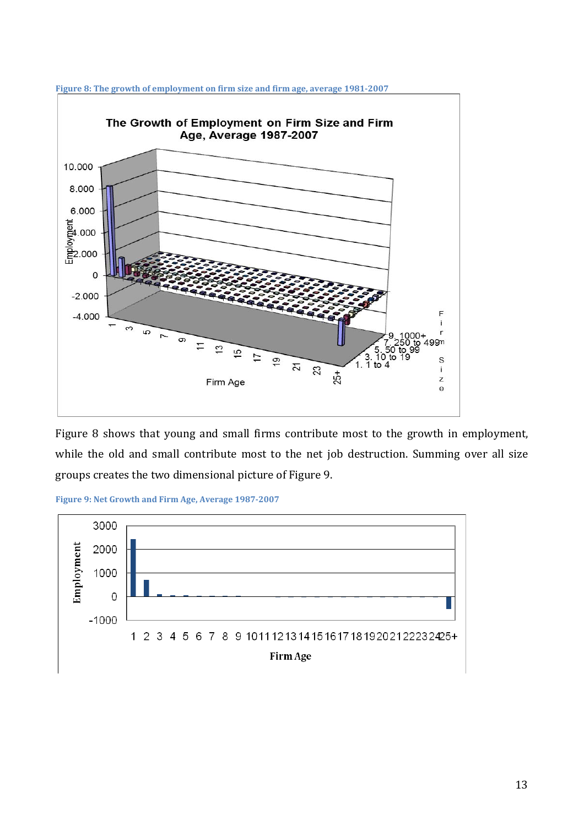

**Figure 8: The growth of employment on firm size and firm age, average 1981-2007**

Figure 8 shows that young and small firms contribute most to the growth in employment, while the old and small contribute most to the net job destruction. Summing over all size groups creates the two dimensional picture of Figure 9.



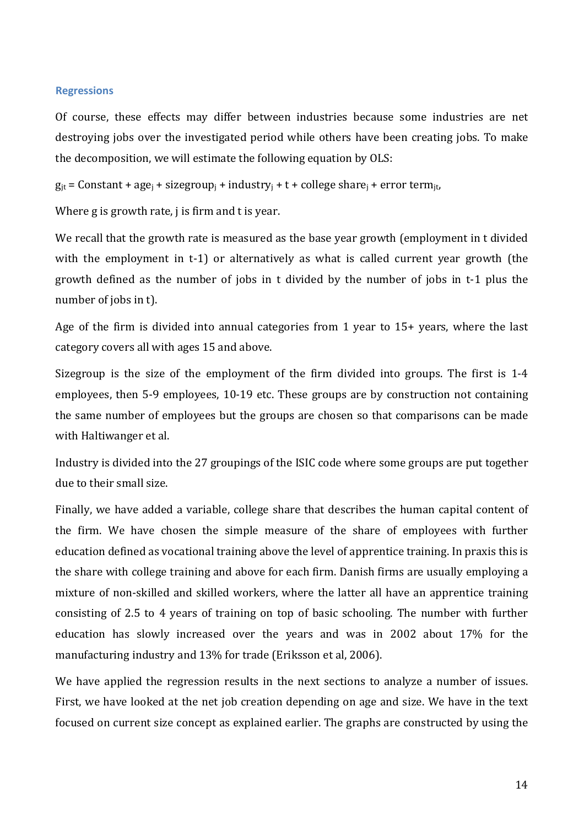#### **Regressions**

Of course, these effects may differ between industries because some industries are net destroying jobs over the investigated period while others have been creating jobs. To make the decomposition, we will estimate the following equation by OLS:

 $g_{it}$  = Constant + age<sub>i</sub> + sizegroup<sub>i</sub> + industry<sub>i</sub> + t + college share<sub>i</sub> + error term<sub>it</sub>,

Where g is growth rate, j is firm and t is year.

We recall that the growth rate is measured as the base year growth (employment in t divided with the employment in t-1) or alternatively as what is called current year growth (the growth defined as the number of jobs in t divided by the number of jobs in t-1 plus the number of jobs in t).

Age of the firm is divided into annual categories from 1 year to 15+ years, where the last category covers all with ages 15 and above.

Sizegroup is the size of the employment of the firm divided into groups. The first is 1-4 employees, then 5-9 employees, 10-19 etc. These groups are by construction not containing the same number of employees but the groups are chosen so that comparisons can be made with Haltiwanger et al.

Industry is divided into the 27 groupings of the ISIC code where some groups are put together due to their small size.

Finally, we have added a variable, college share that describes the human capital content of the firm. We have chosen the simple measure of the share of employees with further education defined as vocational training above the level of apprentice training. In praxis this is the share with college training and above for each firm. Danish firms are usually employing a mixture of non-skilled and skilled workers, where the latter all have an apprentice training consisting of 2.5 to 4 years of training on top of basic schooling. The number with further education has slowly increased over the years and was in 2002 about 17% for the manufacturing industry and 13% for trade (Eriksson et al, 2006).

We have applied the regression results in the next sections to analyze a number of issues. First, we have looked at the net job creation depending on age and size. We have in the text focused on current size concept as explained earlier. The graphs are constructed by using the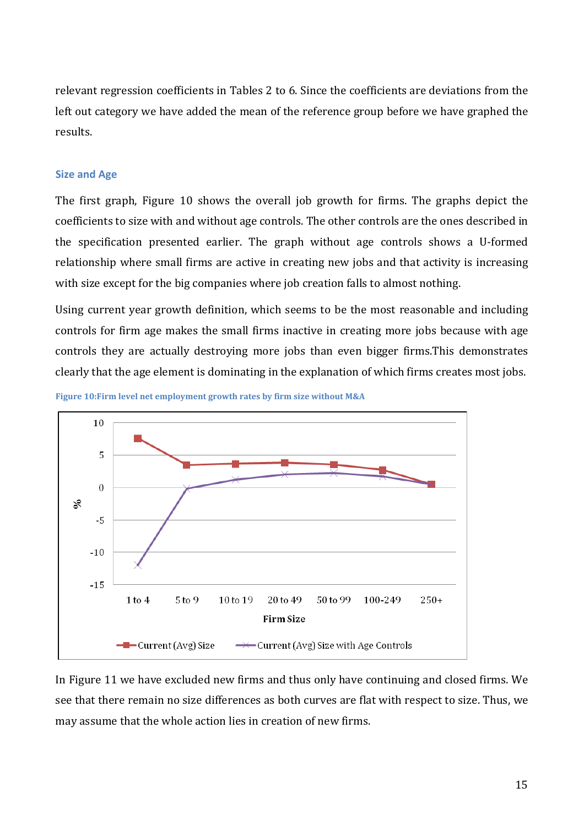relevant regression coefficients in Tables 2 to 6. Since the coefficients are deviations from the left out category we have added the mean of the reference group before we have graphed the results.

# **Size and Age**

The first graph, Figure 10 shows the overall job growth for firms. The graphs depict the coefficients to size with and without age controls. The other controls are the ones described in the specification presented earlier. The graph without age controls shows a U-formed relationship where small firms are active in creating new jobs and that activity is increasing with size except for the big companies where job creation falls to almost nothing.

Using current year growth definition, which seems to be the most reasonable and including controls for firm age makes the small firms inactive in creating more jobs because with age controls they are actually destroying more jobs than even bigger firms.This demonstrates clearly that the age element is dominating in the explanation of which firms creates most jobs.





In Figure 11 we have excluded new firms and thus only have continuing and closed firms. We see that there remain no size differences as both curves are flat with respect to size. Thus, we may assume that the whole action lies in creation of new firms.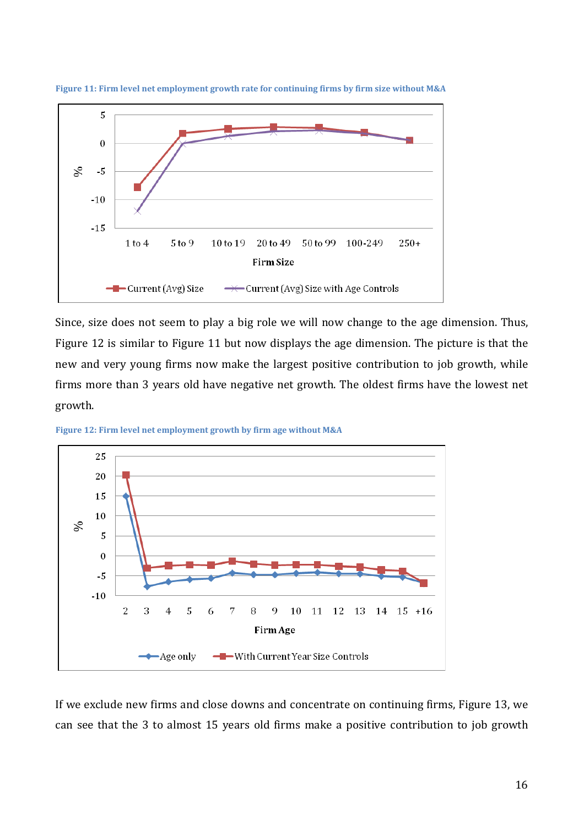

**Figure 11: Firm level net employment growth rate for continuing firms by firm size without M&A**

Since, size does not seem to play a big role we will now change to the age dimension. Thus, Figure 12 is similar to Figure 11 but now displays the age dimension. The picture is that the new and very young firms now make the largest positive contribution to job growth, while firms more than 3 years old have negative net growth. The oldest firms have the lowest net growth.





If we exclude new firms and close downs and concentrate on continuing firms, Figure 13, we can see that the 3 to almost 15 years old firms make a positive contribution to job growth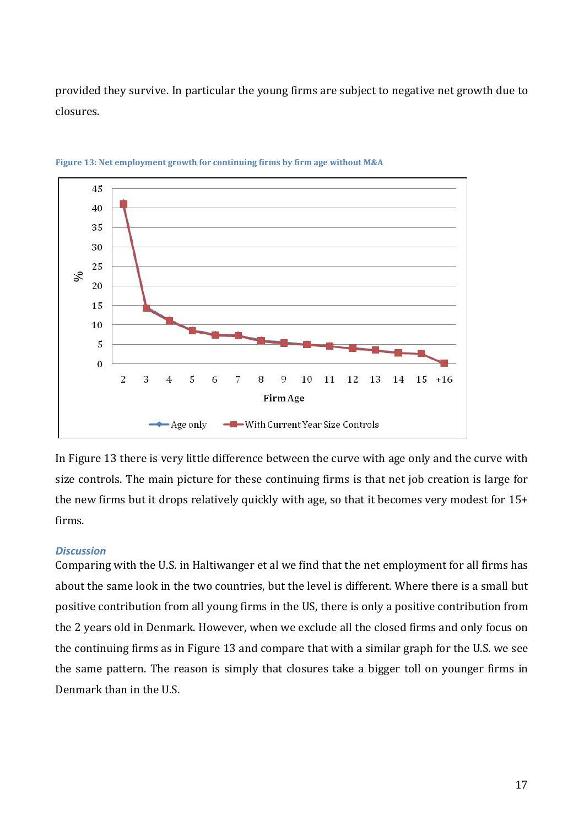provided they survive. In particular the young firms are subject to negative net growth due to closures.



**Figure 13: Net employment growth for continuing firms by firm age without M&A**

In Figure 13 there is very little difference between the curve with age only and the curve with size controls. The main picture for these continuing firms is that net job creation is large for the new firms but it drops relatively quickly with age, so that it becomes very modest for 15+ firms.

### *Discussion*

Comparing with the U.S. in Haltiwanger et al we find that the net employment for all firms has about the same look in the two countries, but the level is different. Where there is a small but positive contribution from all young firms in the US, there is only a positive contribution from the 2 years old in Denmark. However, when we exclude all the closed firms and only focus on the continuing firms as in Figure 13 and compare that with a similar graph for the U.S. we see the same pattern. The reason is simply that closures take a bigger toll on younger firms in Denmark than in the U.S.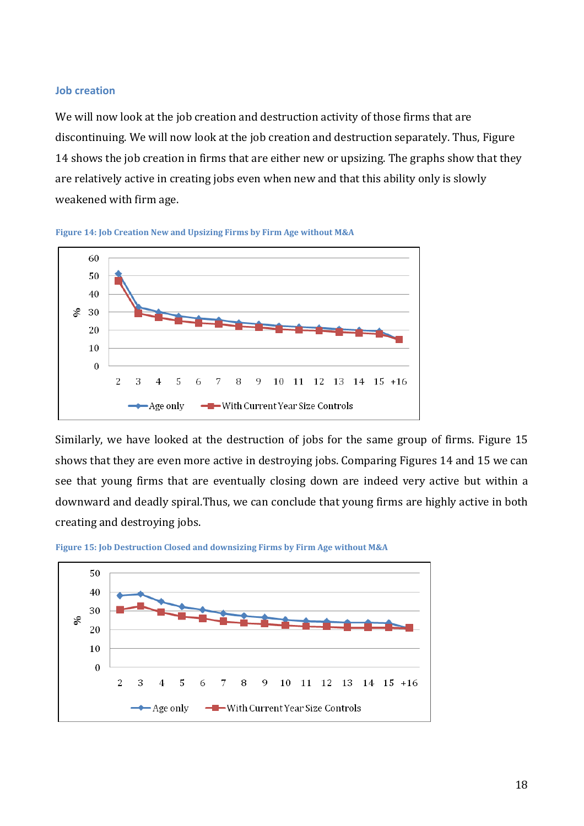#### **Job creation**

We will now look at the job creation and destruction activity of those firms that are discontinuing. We will now look at the job creation and destruction separately. Thus, Figure 14 shows the job creation in firms that are either new or upsizing. The graphs show that they are relatively active in creating jobs even when new and that this ability only is slowly weakened with firm age.





Similarly, we have looked at the destruction of jobs for the same group of firms. Figure 15 shows that they are even more active in destroying jobs. Comparing Figures 14 and 15 we can see that young firms that are eventually closing down are indeed very active but within a downward and deadly spiral.Thus, we can conclude that young firms are highly active in both creating and destroying jobs.



**Figure 15: Job Destruction Closed and downsizing Firms by Firm Age without M&A**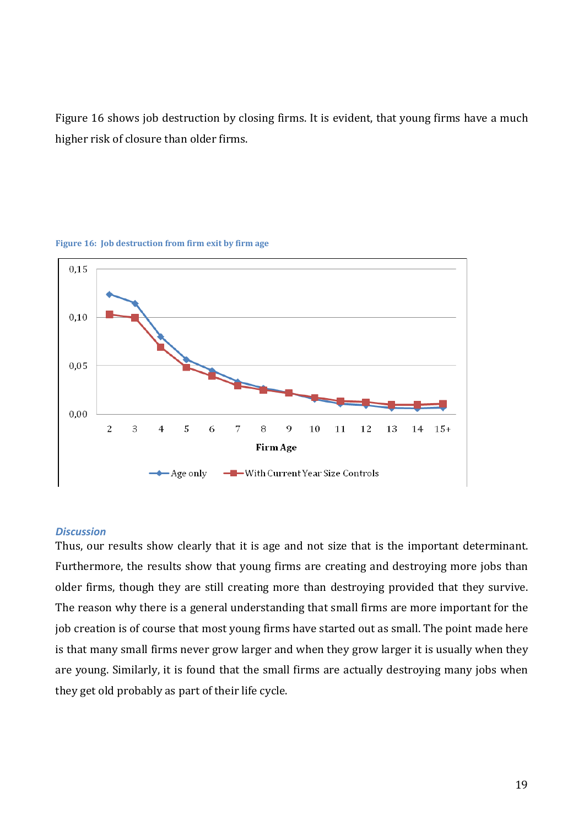Figure 16 shows job destruction by closing firms. It is evident, that young firms have a much higher risk of closure than older firms.



**Figure 16: Job destruction from firm exit by firm age**

#### *Discussion*

Thus, our results show clearly that it is age and not size that is the important determinant. Furthermore, the results show that young firms are creating and destroying more jobs than older firms, though they are still creating more than destroying provided that they survive. The reason why there is a general understanding that small firms are more important for the job creation is of course that most young firms have started out as small. The point made here is that many small firms never grow larger and when they grow larger it is usually when they are young. Similarly, it is found that the small firms are actually destroying many jobs when they get old probably as part of their life cycle.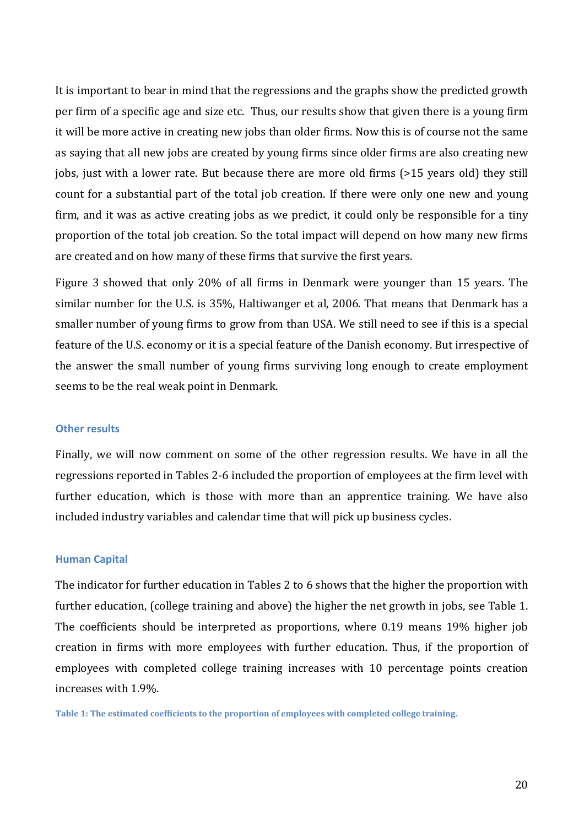It is important to bear in mind that the regressions and the graphs show the predicted growth per firm of a specific age and size etc. Thus, our results show that given there is a young firm it will be more active in creating new jobs than older firms. Now this is of course not the same as saying that all new jobs are created by young firms since older firms are also creating new jobs, just with a lower rate. But because there are more old firms (>15 years old) they still count for a substantial part of the total job creation. If there were only one new and young firm, and it was as active creating jobs as we predict, it could only be responsible for a tiny proportion of the total job creation. So the total impact will depend on how many new firms are created and on how many of these firms that survive the first years.

Figure 3 showed that only 20% of all firms in Denmark were younger than 15 years. The similar number for the U.S. is 35%, Haltiwanger et al, 2006. That means that Denmark has a smaller number of young firms to grow from than USA. We still need to see if this is a special feature of the U.S. economy or it is a special feature of the Danish economy. But irrespective of the answer the small number of young firms surviving long enough to create employment seems to be the real weak point in Denmark.

#### **Other results**

Finally, we will now comment on some of the other regression results. We have in all the regressions reported in Tables 2-6 included the proportion of employees at the firm level with further education, which is those with more than an apprentice training. We have also included industry variables and calendar time that will pick up business cycles.

#### **Human Capital**

The indicator for further education in Tables 2 to 6 shows that the higher the proportion with further education, (college training and above) the higher the net growth in jobs, see Table 1. The coefficients should be interpreted as proportions, where 0.19 means 19% higher job creation in firms with more employees with further education. Thus, if the proportion of employees with completed college training increases with 10 percentage points creation increases with 1.9%.

**Table 1: The estimated coefficients to the proportion of employees with completed college training.**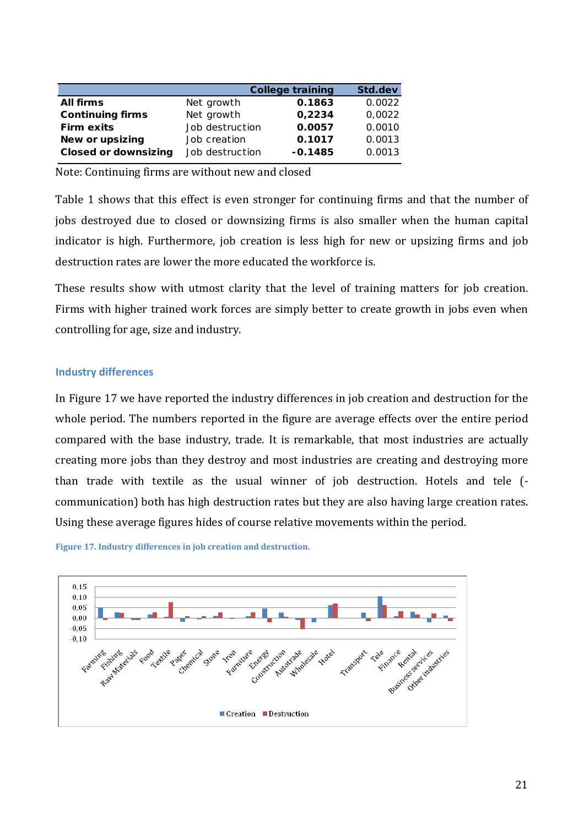|                             |                 | <b>College training</b> | Std.dev |
|-----------------------------|-----------------|-------------------------|---------|
| <b>All firms</b>            | Net growth      | 0.1863                  | 0.0022  |
| <b>Continuing firms</b>     | Net growth      | 0,2234                  | 0.0022  |
| <b>Firm exits</b>           | Job destruction | 0.0057                  | 0.0010  |
| New or upsizing             | Job creation    | 0.1017                  | 0.0013  |
| <b>Closed or downsizing</b> | Job destruction | $-0.1485$               | 0.0013  |
|                             |                 |                         |         |

Note: Continuing firms are without new and closed

Table 1 shows that this effect is even stronger for continuing firms and that the number of jobs destroyed due to closed or downsizing firms is also smaller when the human capital indicator is high. Furthermore, job creation is less high for new or upsizing firms and job destruction rates are lower the more educated the workforce is.

These results show with utmost clarity that the level of training matters for job creation. Firms with higher trained work forces are simply better to create growth in jobs even when controlling for age, size and industry.

### **Industry differences**

In Figure 17 we have reported the industry differences in job creation and destruction for the whole period. The numbers reported in the figure are average effects over the entire period compared with the base industry, trade. It is remarkable, that most industries are actually creating more jobs than they destroy and most industries are creating and destroying more than trade with textile as the usual winner of job destruction. Hotels and tele ( communication) both has high destruction rates but they are also having large creation rates. Using these average figures hides of course relative movements within the period.



**Figure 17. Industry differences in job creation and destruction.**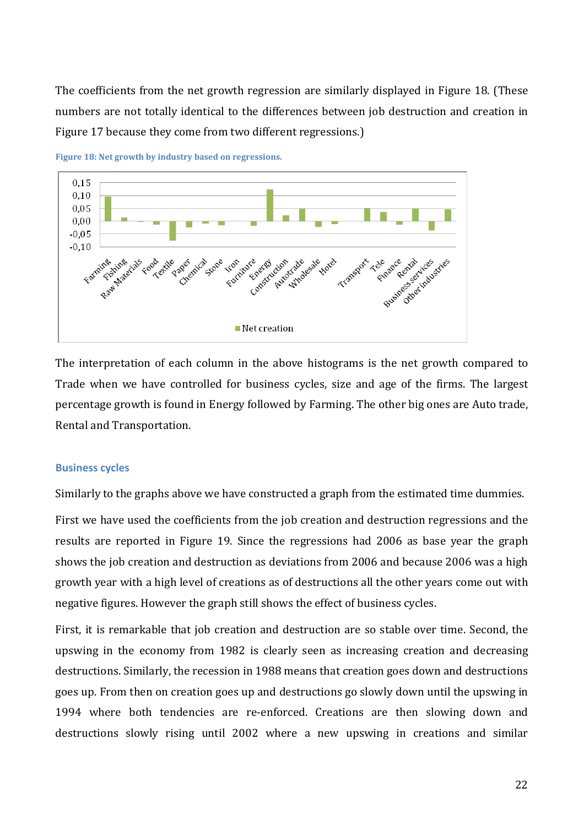The coefficients from the net growth regression are similarly displayed in Figure 18. (These numbers are not totally identical to the differences between job destruction and creation in Figure 17 because they come from two different regressions.)



**Figure 18: Net growth by industry based on regressions.**

The interpretation of each column in the above histograms is the net growth compared to Trade when we have controlled for business cycles, size and age of the firms. The largest percentage growth is found in Energy followed by Farming. The other big ones are Auto trade, Rental and Transportation.

#### **Business cycles**

Similarly to the graphs above we have constructed a graph from the estimated time dummies.

First we have used the coefficients from the job creation and destruction regressions and the results are reported in Figure 19. Since the regressions had 2006 as base year the graph shows the job creation and destruction as deviations from 2006 and because 2006 was a high growth year with a high level of creations as of destructions all the other years come out with negative figures. However the graph still shows the effect of business cycles.

First, it is remarkable that job creation and destruction are so stable over time. Second, the upswing in the economy from 1982 is clearly seen as increasing creation and decreasing destructions. Similarly, the recession in 1988 means that creation goes down and destructions goes up. From then on creation goes up and destructions go slowly down until the upswing in 1994 where both tendencies are re-enforced. Creations are then slowing down and destructions slowly rising until 2002 where a new upswing in creations and similar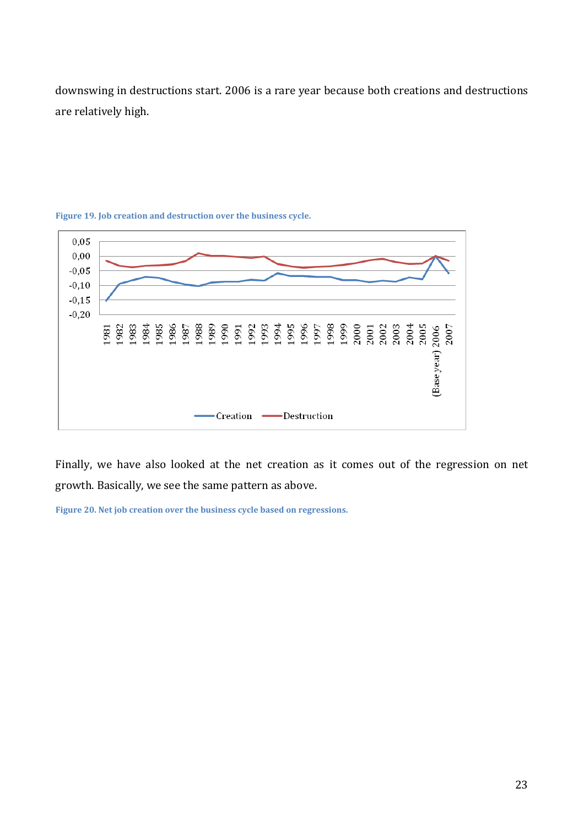downswing in destructions start. 2006 is a rare year because both creations and destructions are relatively high.



**Figure 19. Job creation and destruction over the business cycle.**

Finally, we have also looked at the net creation as it comes out of the regression on net growth. Basically, we see the same pattern as above.

**Figure 20. Net job creation over the business cycle based on regressions.**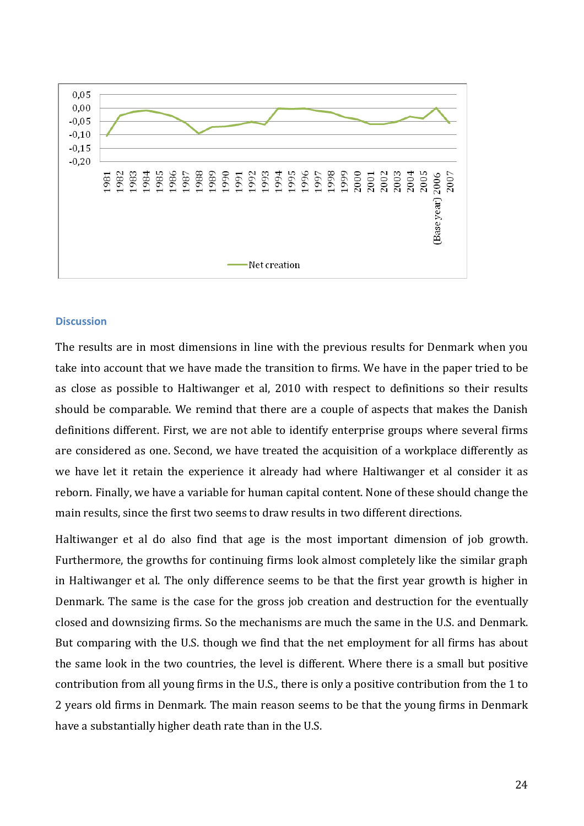

#### **Discussion**

The results are in most dimensions in line with the previous results for Denmark when you take into account that we have made the transition to firms. We have in the paper tried to be as close as possible to Haltiwanger et al, 2010 with respect to definitions so their results should be comparable. We remind that there are a couple of aspects that makes the Danish definitions different. First, we are not able to identify enterprise groups where several firms are considered as one. Second, we have treated the acquisition of a workplace differently as we have let it retain the experience it already had where Haltiwanger et al consider it as reborn. Finally, we have a variable for human capital content. None of these should change the main results, since the first two seems to draw results in two different directions.

Haltiwanger et al do also find that age is the most important dimension of job growth. Furthermore, the growths for continuing firms look almost completely like the similar graph in Haltiwanger et al. The only difference seems to be that the first year growth is higher in Denmark. The same is the case for the gross job creation and destruction for the eventually closed and downsizing firms. So the mechanisms are much the same in the U.S. and Denmark. But comparing with the U.S. though we find that the net employment for all firms has about the same look in the two countries, the level is different. Where there is a small but positive contribution from all young firms in the U.S., there is only a positive contribution from the 1 to 2 years old firms in Denmark. The main reason seems to be that the young firms in Denmark have a substantially higher death rate than in the U.S.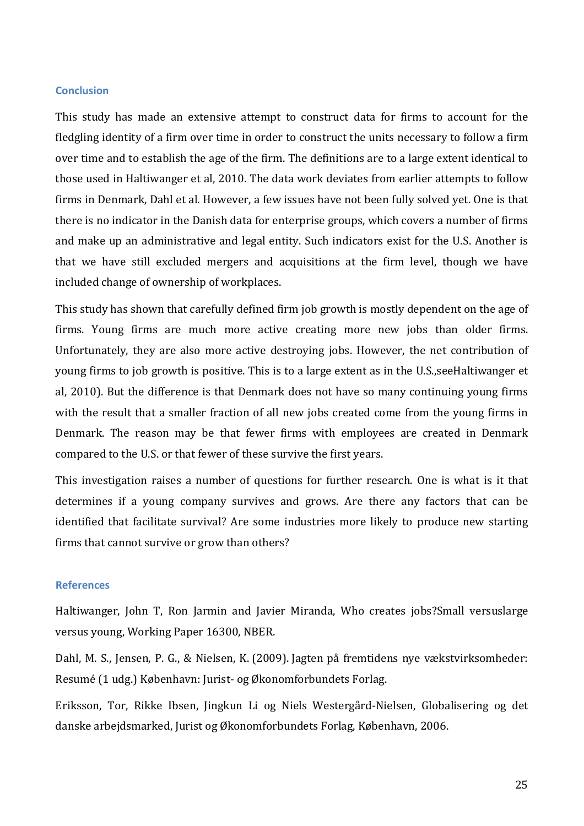#### **Conclusion**

This study has made an extensive attempt to construct data for firms to account for the fledgling identity of a firm over time in order to construct the units necessary to follow a firm over time and to establish the age of the firm. The definitions are to a large extent identical to those used in Haltiwanger et al, 2010. The data work deviates from earlier attempts to follow firms in Denmark, Dahl et al. However, a few issues have not been fully solved yet. One is that there is no indicator in the Danish data for enterprise groups, which covers a number of firms and make up an administrative and legal entity. Such indicators exist for the U.S. Another is that we have still excluded mergers and acquisitions at the firm level, though we have included change of ownership of workplaces.

This study has shown that carefully defined firm job growth is mostly dependent on the age of firms. Young firms are much more active creating more new jobs than older firms. Unfortunately, they are also more active destroying jobs. However, the net contribution of young firms to job growth is positive. This is to a large extent as in the U.S.,seeHaltiwanger et al, 2010). But the difference is that Denmark does not have so many continuing young firms with the result that a smaller fraction of all new jobs created come from the young firms in Denmark. The reason may be that fewer firms with employees are created in Denmark compared to the U.S. or that fewer of these survive the first years.

This investigation raises a number of questions for further research. One is what is it that determines if a young company survives and grows. Are there any factors that can be identified that facilitate survival? Are some industries more likely to produce new starting firms that cannot survive or grow than others?

# **References**

Haltiwanger, John T, Ron Jarmin and Javier Miranda, Who creates jobs?Small versuslarge versus young, Working Paper 16300, NBER.

[Dahl, M. S., Jensen, P. G.](http://vbn.aau.dk/da/persons/michael-s-dahl(86f3b9e4-2c48-4e47-aa28-cba7e34742bb).html)[, & Nielsen, K.](http://vbn.aau.dk/da/persons/kristian-nielsen(8212fdc4-91fa-4027-9f80-f9039303522d).html) (2009). [Jagten på fremtidens nye vækstvirksomheder:](http://vbn.aau.dk/da/publications/jagten-paa-fremtidens-nye-vaekstvirksomheder(062549a0-d53a-11de-bb13-000ea68e967b).html)  [Resumé](http://vbn.aau.dk/da/publications/jagten-paa-fremtidens-nye-vaekstvirksomheder(062549a0-d53a-11de-bb13-000ea68e967b).html) (1 udg.) København: Jurist- og Økonomforbundets Forlag.

Eriksson, Tor, Rikke Ibsen, Jingkun Li og Niels Westergård-Nielsen, Globalisering og det danske arbejdsmarked, Jurist og Økonomforbundets Forlag, København, 2006.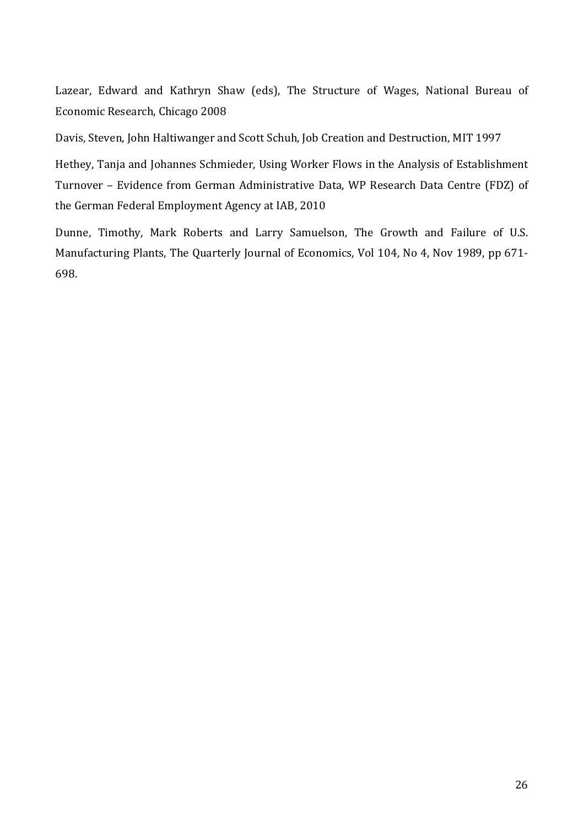Lazear, Edward and Kathryn Shaw (eds), The Structure of Wages, National Bureau of Economic Research, Chicago 2008

Davis, Steven, John Haltiwanger and Scott Schuh, Job Creation and Destruction, MIT 1997

Hethey, Tanja and Johannes Schmieder, Using Worker Flows in the Analysis of Establishment Turnover – Evidence from German Administrative Data, WP Research Data Centre (FDZ) of the German Federal Employment Agency at IAB, 2010

Dunne, Timothy, Mark Roberts and Larry Samuelson, The Growth and Failure of U.S. Manufacturing Plants, The Quarterly Journal of Economics, Vol 104, No 4, Nov 1989, pp 671- 698.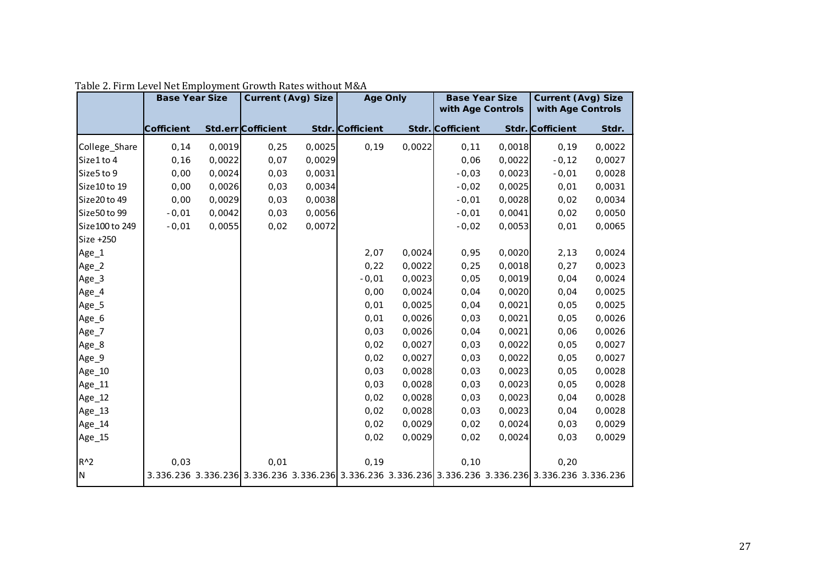|                 | <b>Base Year Size</b> |        | <b>Current (Avg) Size</b> |        | <b>Age Only</b>  |        | <b>Base Year Size</b><br>with Age Controls                                                                    |        | <b>Current (Avg) Size</b><br>with Age Controls |        |
|-----------------|-----------------------|--------|---------------------------|--------|------------------|--------|---------------------------------------------------------------------------------------------------------------|--------|------------------------------------------------|--------|
|                 |                       |        |                           |        |                  |        |                                                                                                               |        |                                                |        |
|                 | Cofficient            |        | Std.err Cofficient        |        | Stdr. Cofficient |        | Stdr. Cofficient                                                                                              |        | Stdr. Cofficient                               | Stdr.  |
| College_Share   | 0,14                  | 0,0019 | 0,25                      | 0,0025 | 0,19             | 0,0022 | 0,11                                                                                                          | 0,0018 | 0,19                                           | 0,0022 |
| Size1 to 4      | 0, 16                 | 0,0022 | 0,07                      | 0,0029 |                  |        | 0,06                                                                                                          | 0,0022 | $-0,12$                                        | 0,0027 |
| Size5 to 9      | 0,00                  | 0,0024 | 0,03                      | 0,0031 |                  |        | $-0,03$                                                                                                       | 0,0023 | $-0,01$                                        | 0,0028 |
| Size 10 to 19   | 0,00                  | 0,0026 | 0,03                      | 0,0034 |                  |        | $-0,02$                                                                                                       | 0,0025 | 0,01                                           | 0,0031 |
| Size20 to 49    | 0,00                  | 0,0029 | 0,03                      | 0,0038 |                  |        | $-0,01$                                                                                                       | 0,0028 | 0,02                                           | 0,0034 |
| Size 50 to 99   | $-0,01$               | 0,0042 | 0,03                      | 0,0056 |                  |        | $-0,01$                                                                                                       | 0,0041 | 0,02                                           | 0,0050 |
| Size 100 to 249 | $-0,01$               | 0,0055 | 0,02                      | 0,0072 |                  |        | $-0,02$                                                                                                       | 0,0053 | 0,01                                           | 0,0065 |
| Size +250       |                       |        |                           |        |                  |        |                                                                                                               |        |                                                |        |
| Age_1           |                       |        |                           |        | 2,07             | 0,0024 | 0,95                                                                                                          | 0,0020 | 2,13                                           | 0,0024 |
| Age_2           |                       |        |                           |        | 0,22             | 0,0022 | 0,25                                                                                                          | 0,0018 | 0,27                                           | 0,0023 |
| Age_3           |                       |        |                           |        | $-0,01$          | 0,0023 | 0,05                                                                                                          | 0,0019 | 0,04                                           | 0,0024 |
| Age_4           |                       |        |                           |        | 0,00             | 0,0024 | 0,04                                                                                                          | 0,0020 | 0,04                                           | 0,0025 |
| Age_5           |                       |        |                           |        | 0,01             | 0,0025 | 0,04                                                                                                          | 0,0021 | 0,05                                           | 0,0025 |
| Age_6           |                       |        |                           |        | 0,01             | 0,0026 | 0,03                                                                                                          | 0,0021 | 0,05                                           | 0,0026 |
| Age_7           |                       |        |                           |        | 0,03             | 0,0026 | 0,04                                                                                                          | 0,0021 | 0,06                                           | 0,0026 |
| Age_8           |                       |        |                           |        | 0,02             | 0,0027 | 0,03                                                                                                          | 0,0022 | 0,05                                           | 0,0027 |
| Age_9           |                       |        |                           |        | 0,02             | 0,0027 | 0,03                                                                                                          | 0,0022 | 0,05                                           | 0,0027 |
| Age_10          |                       |        |                           |        | 0,03             | 0,0028 | 0,03                                                                                                          | 0,0023 | 0,05                                           | 0,0028 |
| Age_11          |                       |        |                           |        | 0,03             | 0,0028 | 0,03                                                                                                          | 0,0023 | 0,05                                           | 0,0028 |
| Age_12          |                       |        |                           |        | 0,02             | 0,0028 | 0,03                                                                                                          | 0,0023 | 0,04                                           | 0,0028 |
| Age_13          |                       |        |                           |        | 0,02             | 0,0028 | 0,03                                                                                                          | 0,0023 | 0,04                                           | 0,0028 |
| Age_14          |                       |        |                           |        | 0,02             | 0,0029 | 0,02                                                                                                          | 0,0024 | 0,03                                           | 0,0029 |
| Age_15          |                       |        |                           |        | 0,02             | 0,0029 | 0,02                                                                                                          | 0,0024 | 0,03                                           | 0,0029 |
|                 |                       |        |                           |        |                  |        |                                                                                                               |        |                                                |        |
| $R^2$           | 0,03                  |        | 0,01                      |        | 0, 19            |        | 0, 10                                                                                                         |        | 0,20                                           |        |
| IN.             |                       |        |                           |        |                  |        | 3.336.236 3.336.236 3.336.236 3.336.236 3.336.236 3.336.236 3.336.236 3.336.236 3.336.236 3.336.236 3.336.236 |        |                                                |        |

Table 2. Firm Level Net Employment Growth Rates without M&A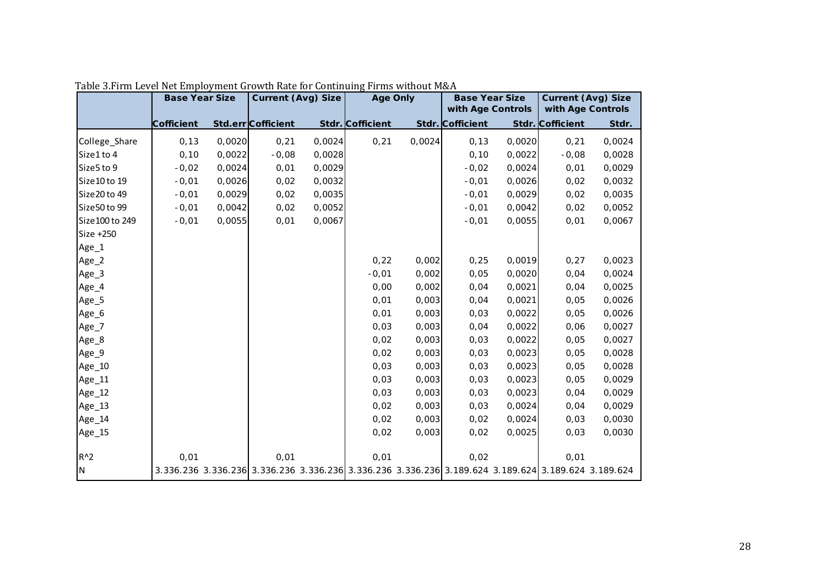|                  | <b>Base Year Size</b> |        | <b>Current (Avg) Size</b>                                                                           |        | <b>Age Only</b>  |        | <b>Base Year Size</b> |        | <b>Current (Avg) Size</b> |        |
|------------------|-----------------------|--------|-----------------------------------------------------------------------------------------------------|--------|------------------|--------|-----------------------|--------|---------------------------|--------|
|                  |                       |        |                                                                                                     |        |                  |        | with Age Controls     |        | with Age Controls         |        |
|                  | Cofficient            |        | Std.err Cofficient                                                                                  |        | Stdr. Cofficient |        | Stdr. Cofficient      |        | Stdr. Cofficient          | Stdr.  |
| College_Share    | 0, 13                 | 0,0020 | 0,21                                                                                                | 0,0024 | 0,21             | 0,0024 | 0, 13                 | 0,0020 | 0,21                      | 0,0024 |
| Size1 to 4       | 0, 10                 | 0,0022 | $-0,08$                                                                                             | 0,0028 |                  |        | 0, 10                 | 0,0022 | $-0,08$                   | 0,0028 |
| Size5 to 9       | $-0,02$               | 0,0024 | 0,01                                                                                                | 0,0029 |                  |        | $-0,02$               | 0,0024 | 0,01                      | 0,0029 |
| Size 10 to 19    | $-0,01$               | 0,0026 | 0,02                                                                                                | 0,0032 |                  |        | $-0,01$               | 0,0026 | 0,02                      | 0,0032 |
| Size 20 to 49    | $-0,01$               | 0,0029 | 0,02                                                                                                | 0,0035 |                  |        | $-0,01$               | 0,0029 | 0,02                      | 0,0035 |
| Size50 to 99     | $-0,01$               | 0,0042 | 0,02                                                                                                | 0,0052 |                  |        | $-0,01$               | 0,0042 | 0,02                      | 0,0052 |
| Size 100 to 249  | $-0,01$               | 0,0055 | 0,01                                                                                                | 0,0067 |                  |        | $-0,01$               | 0,0055 | 0,01                      | 0,0067 |
| Size +250        |                       |        |                                                                                                     |        |                  |        |                       |        |                           |        |
| Age_1            |                       |        |                                                                                                     |        |                  |        |                       |        |                           |        |
| Age_2            |                       |        |                                                                                                     |        | 0,22             | 0,002  | 0,25                  | 0,0019 | 0,27                      | 0,0023 |
| Age_3            |                       |        |                                                                                                     |        | $-0,01$          | 0,002  | 0,05                  | 0,0020 | 0,04                      | 0,0024 |
| Age_4            |                       |        |                                                                                                     |        | 0,00             | 0,002  | 0,04                  | 0,0021 | 0,04                      | 0,0025 |
| Age_5            |                       |        |                                                                                                     |        | 0,01             | 0,003  | 0,04                  | 0,0021 | 0,05                      | 0,0026 |
| Age_6            |                       |        |                                                                                                     |        | 0,01             | 0,003  | 0,03                  | 0,0022 | 0,05                      | 0,0026 |
| Age_7            |                       |        |                                                                                                     |        | 0,03             | 0,003  | 0,04                  | 0,0022 | 0,06                      | 0,0027 |
| Age <sub>8</sub> |                       |        |                                                                                                     |        | 0,02             | 0,003  | 0,03                  | 0,0022 | 0,05                      | 0,0027 |
| Age_9            |                       |        |                                                                                                     |        | 0,02             | 0,003  | 0,03                  | 0,0023 | 0,05                      | 0,0028 |
| Age_10           |                       |        |                                                                                                     |        | 0,03             | 0,003  | 0,03                  | 0,0023 | 0,05                      | 0,0028 |
| Age_11           |                       |        |                                                                                                     |        | 0,03             | 0,003  | 0,03                  | 0,0023 | 0,05                      | 0,0029 |
| Age_12           |                       |        |                                                                                                     |        | 0,03             | 0,003  | 0,03                  | 0,0023 | 0,04                      | 0,0029 |
| Age_13           |                       |        |                                                                                                     |        | 0,02             | 0,003  | 0,03                  | 0,0024 | 0,04                      | 0,0029 |
| Age_14           |                       |        |                                                                                                     |        | 0,02             | 0,003  | 0,02                  | 0,0024 | 0,03                      | 0,0030 |
| Age_15           |                       |        |                                                                                                     |        | 0,02             | 0,003  | 0,02                  | 0,0025 | 0,03                      | 0,0030 |
|                  |                       |        |                                                                                                     |        |                  |        |                       |        |                           |        |
| $R^2$            | 0,01                  |        | 0,01                                                                                                |        | 0,01             |        | 0,02                  |        | 0,01                      |        |
| IN.              |                       |        | 3.336.236 3.336.236 3.336.236 3.336.236 3.336.236 3.336.236 3.189.624 3.189.624 3.189.624 3.189.624 |        |                  |        |                       |        |                           |        |

Table 3.Firm Level Net Employment Growth Rate for Continuing Firms without M&A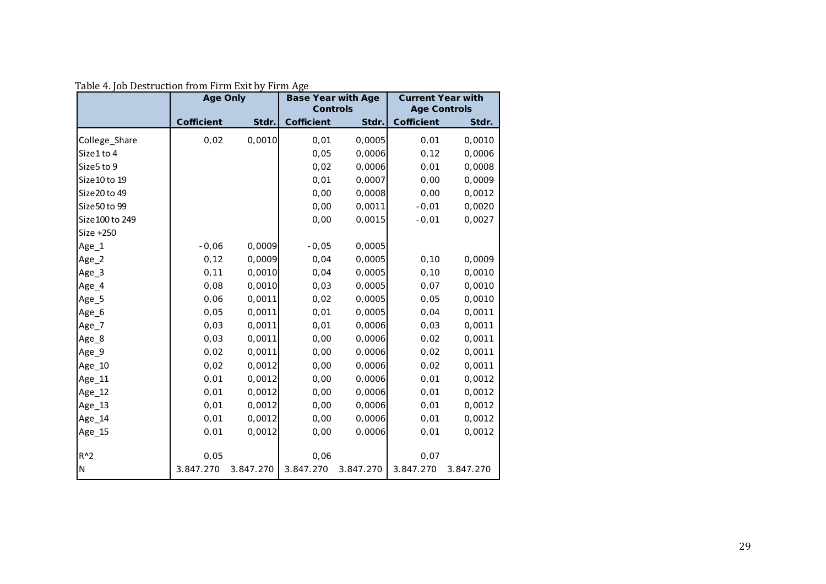|                  | <b>Age Only</b>   |           | <b>Base Year with Age</b> |           | <b>Current Year with</b><br><b>Age Controls</b> |           |  |
|------------------|-------------------|-----------|---------------------------|-----------|-------------------------------------------------|-----------|--|
|                  |                   |           | <b>Controls</b>           |           |                                                 |           |  |
|                  | <b>Cofficient</b> | Stdr.     | <b>Cofficient</b>         | Stdr.     | <b>Cofficient</b>                               | Stdr.     |  |
| College_Share    | 0,02              | 0,0010    | 0,01                      | 0,0005    | 0,01                                            | 0,0010    |  |
| Size1 to 4       |                   |           | 0,05                      | 0,0006    | 0, 12                                           | 0,0006    |  |
| Size5 to 9       |                   |           | 0,02                      | 0,0006    | 0,01                                            | 0,0008    |  |
| Size 10 to 19    |                   |           | 0,01                      | 0,0007    | 0,00                                            | 0,0009    |  |
| Size 20 to 49    |                   |           | 0,00                      | 0,0008    | 0,00                                            | 0,0012    |  |
| Size 50 to 99    |                   |           | 0,00                      | 0,0011    | $-0,01$                                         | 0,0020    |  |
| Size 100 to 249  |                   |           | 0,00                      | 0,0015    | $-0,01$                                         | 0,0027    |  |
| Size +250        |                   |           |                           |           |                                                 |           |  |
| Age <sub>1</sub> | $-0,06$           | 0,0009    | $-0,05$                   | 0,0005    |                                                 |           |  |
| Age_2            | 0, 12             | 0,0009    | 0,04                      | 0,0005    | 0, 10                                           | 0,0009    |  |
| Age_3            | 0,11              | 0,0010    | 0,04                      | 0,0005    | 0, 10                                           | 0,0010    |  |
| Age_4            | 0,08              | 0,0010    | 0,03                      | 0,0005    | 0,07                                            | 0,0010    |  |
| Age_5            | 0,06              | 0,0011    | 0,02                      | 0,0005    | 0,05                                            | 0,0010    |  |
| Age_6            | 0,05              | 0,0011    | 0,01                      | 0,0005    | 0,04                                            | 0,0011    |  |
| Age_7            | 0,03              | 0,0011    | 0,01                      | 0,0006    | 0,03                                            | 0,0011    |  |
| Age_8            | 0,03              | 0,0011    | 0,00                      | 0,0006    | 0,02                                            | 0,0011    |  |
| Age <sub>9</sub> | 0,02              | 0,0011    | 0,00                      | 0,0006    | 0,02                                            | 0,0011    |  |
| Age_10           | 0,02              | 0,0012    | 0,00                      | 0,0006    | 0,02                                            | 0,0011    |  |
| Age_11           | 0,01              | 0,0012    | 0,00                      | 0,0006    | 0,01                                            | 0,0012    |  |
| Age_12           | 0,01              | 0,0012    | 0,00                      | 0,0006    | 0,01                                            | 0,0012    |  |
| Age_13           | 0,01              | 0,0012    | 0,00                      | 0,0006    | 0,01                                            | 0,0012    |  |
| Age_14           | 0,01              | 0,0012    | 0,00                      | 0,0006    | 0,01                                            | 0,0012    |  |
| Age_15           | 0,01              | 0,0012    | 0,00                      | 0,0006    | 0,01                                            | 0,0012    |  |
|                  |                   |           |                           |           |                                                 |           |  |
| $R^2$            | 0,05              |           | 0,06                      |           | 0,07                                            |           |  |
| ${\sf N}$        | 3.847.270         | 3.847.270 | 3.847.270                 | 3.847.270 | 3.847.270                                       | 3.847.270 |  |

Table 4. Job Destruction from Firm Exit by Firm Age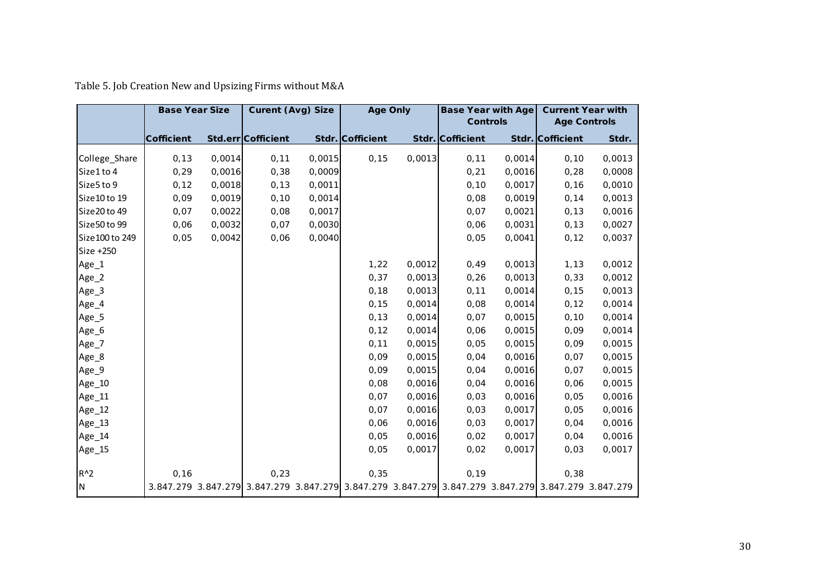|                 | <b>Base Year Size</b> |        | <b>Curent (Avg) Size</b>                                                                            |        | <b>Age Only</b>  |        | <b>Base Year with Age</b> |        | <b>Current Year with</b> |        |
|-----------------|-----------------------|--------|-----------------------------------------------------------------------------------------------------|--------|------------------|--------|---------------------------|--------|--------------------------|--------|
|                 |                       |        |                                                                                                     |        |                  |        | <b>Controls</b>           |        | <b>Age Controls</b>      |        |
|                 | <b>Cofficient</b>     |        | Std.err Cofficient                                                                                  |        | Stdr. Cofficient |        | Stdr. Cofficient          |        | Stdr. Cofficient         | Stdr.  |
| College_Share   | 0, 13                 | 0,0014 | 0,11                                                                                                | 0,0015 | 0, 15            | 0,0013 | 0, 11                     | 0,0014 | 0, 10                    | 0,0013 |
| Size1 to 4      | 0, 29                 | 0,0016 | 0,38                                                                                                | 0,0009 |                  |        |                           | 0,0016 | 0,28                     | 0,0008 |
| Size5 to 9      |                       |        |                                                                                                     |        |                  |        | 0,21                      |        |                          | 0,0010 |
|                 | 0, 12                 | 0,0018 | 0, 13                                                                                               | 0,0011 |                  |        | 0, 10                     | 0,0017 | 0, 16                    |        |
| Size 10 to 19   | 0,09                  | 0,0019 | 0, 10                                                                                               | 0,0014 |                  |        | 0,08                      | 0,0019 | 0,14                     | 0,0013 |
| Size20 to 49    | 0,07                  | 0,0022 | 0,08                                                                                                | 0,0017 |                  |        | 0,07                      | 0,0021 | 0, 13                    | 0,0016 |
| Size50 to 99    | 0,06                  | 0,0032 | 0,07                                                                                                | 0,0030 |                  |        | 0,06                      | 0,0031 | 0, 13                    | 0,0027 |
| Size 100 to 249 | 0,05                  | 0,0042 | 0,06                                                                                                | 0,0040 |                  |        | 0,05                      | 0,0041 | 0, 12                    | 0,0037 |
| Size +250       |                       |        |                                                                                                     |        |                  |        |                           |        |                          |        |
| Age_1           |                       |        |                                                                                                     |        | 1,22             | 0,0012 | 0,49                      | 0,0013 | 1, 13                    | 0,0012 |
| Age_2           |                       |        |                                                                                                     |        | 0,37             | 0,0013 | 0,26                      | 0,0013 | 0,33                     | 0,0012 |
| Age_3           |                       |        |                                                                                                     |        | 0,18             | 0,0013 | 0,11                      | 0,0014 | 0, 15                    | 0,0013 |
| Age_4           |                       |        |                                                                                                     |        | 0, 15            | 0,0014 | 0,08                      | 0,0014 | 0, 12                    | 0,0014 |
| Age_5           |                       |        |                                                                                                     |        | 0, 13            | 0,0014 | 0,07                      | 0,0015 | 0, 10                    | 0,0014 |
| Age_6           |                       |        |                                                                                                     |        | 0, 12            | 0,0014 | 0,06                      | 0,0015 | 0,09                     | 0,0014 |
| Age_7           |                       |        |                                                                                                     |        | 0, 11            | 0,0015 | 0,05                      | 0,0015 | 0,09                     | 0,0015 |
| Age_8           |                       |        |                                                                                                     |        | 0,09             | 0,0015 | 0,04                      | 0,0016 | 0,07                     | 0,0015 |
| Age_9           |                       |        |                                                                                                     |        | 0,09             | 0,0015 | 0,04                      | 0,0016 | 0,07                     | 0,0015 |
| Age_10          |                       |        |                                                                                                     |        | 0,08             | 0,0016 | 0,04                      | 0,0016 | 0,06                     | 0,0015 |
| Age_11          |                       |        |                                                                                                     |        | 0,07             | 0,0016 | 0,03                      | 0,0016 | 0,05                     | 0,0016 |
| Age_12          |                       |        |                                                                                                     |        | 0,07             | 0,0016 | 0,03                      | 0,0017 | 0,05                     | 0,0016 |
| Age_13          |                       |        |                                                                                                     |        | 0,06             | 0,0016 | 0,03                      | 0,0017 | 0,04                     | 0,0016 |
| Age_14          |                       |        |                                                                                                     |        | 0,05             | 0,0016 | 0,02                      | 0,0017 | 0,04                     | 0,0016 |
| Age_15          |                       |        |                                                                                                     |        | 0,05             | 0,0017 | 0,02                      | 0,0017 | 0,03                     | 0,0017 |
|                 |                       |        |                                                                                                     |        |                  |        |                           |        |                          |        |
| $R^2$           | 0, 16                 |        | 0,23                                                                                                |        | 0,35             |        | 0, 19                     |        | 0,38                     |        |
| N               |                       |        | 3.847.279 3.847.279 3.847.279 3.847.279 3.847.279 3.847.279 3.847.279 3.847.279 3.847.279 3.847.279 |        |                  |        |                           |        |                          |        |

Table 5. Job Creation New and Upsizing Firms without M&A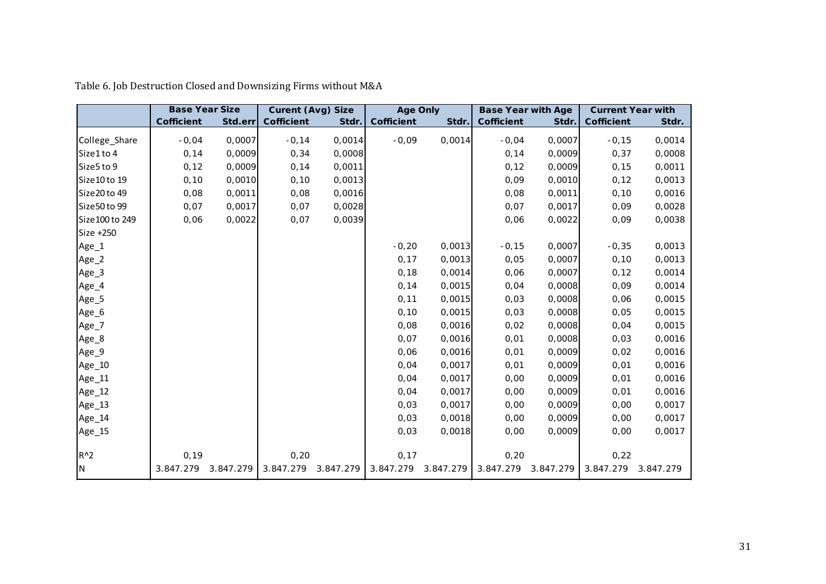|                 | <b>Base Year Size</b> |           | <b>Curent (Avg) Size</b> |           | <b>Age Only</b>   |           | <b>Base Year with Age</b> |           | <b>Current Year with</b> |           |
|-----------------|-----------------------|-----------|--------------------------|-----------|-------------------|-----------|---------------------------|-----------|--------------------------|-----------|
|                 | <b>Cofficient</b>     | Std.err   | Cofficient               | Stdr.     | <b>Cofficient</b> | Stdr.     | <b>Cofficient</b>         | Stdr.     | Cofficient               | Stdr.     |
| College_Share   | $-0,04$               | 0,0007    | $-0,14$                  | 0,0014    | $-0,09$           | 0,0014    | $-0,04$                   | 0,0007    | $-0,15$                  | 0,0014    |
| Size1 to 4      | 0, 14                 | 0,0009    | 0,34                     | 0,0008    |                   |           | 0,14                      | 0,0009    | 0,37                     | 0,0008    |
| Size5 to 9      | 0, 12                 | 0,0009    | 0, 14                    | 0,0011    |                   |           | 0, 12                     | 0,0009    | 0, 15                    | 0,0011    |
| Size 10 to 19   | 0, 10                 | 0,0010    | 0, 10                    | 0,0013    |                   |           | 0,09                      | 0,0010    | 0, 12                    | 0,0013    |
| Size 20 to 49   | 0,08                  | 0,0011    | 0,08                     | 0,0016    |                   |           | 0,08                      | 0,0011    | 0, 10                    | 0,0016    |
| Size50 to 99    | 0,07                  | 0,0017    | 0,07                     | 0,0028    |                   |           | 0,07                      | 0,0017    | 0,09                     | 0,0028    |
| Size 100 to 249 | 0,06                  | 0,0022    | 0,07                     | 0,0039    |                   |           | 0,06                      | 0,0022    | 0,09                     | 0,0038    |
| Size +250       |                       |           |                          |           |                   |           |                           |           |                          |           |
| Age_1           |                       |           |                          |           | $-0,20$           | 0,0013    | $-0,15$                   | 0,0007    | $-0,35$                  | 0,0013    |
| Age_2           |                       |           |                          |           | 0,17              | 0,0013    | 0,05                      | 0,0007    | 0, 10                    | 0,0013    |
| Age_3           |                       |           |                          |           | 0,18              | 0,0014    | 0,06                      | 0,0007    | 0, 12                    | 0,0014    |
| Age_4           |                       |           |                          |           | 0, 14             | 0,0015    | 0,04                      | 0,0008    | 0,09                     | 0,0014    |
| Age_5           |                       |           |                          |           | 0, 11             | 0,0015    | 0,03                      | 0,0008    | 0,06                     | 0,0015    |
| Age_6           |                       |           |                          |           | 0, 10             | 0,0015    | 0,03                      | 0,0008    | 0,05                     | 0,0015    |
| Age_7           |                       |           |                          |           | 0,08              | 0,0016    | 0,02                      | 0,0008    | 0,04                     | 0,0015    |
| Age_8           |                       |           |                          |           | 0,07              | 0,0016    | 0,01                      | 0,0008    | 0,03                     | 0,0016    |
| Age_9           |                       |           |                          |           | 0,06              | 0,0016    | 0,01                      | 0,0009    | 0,02                     | 0,0016    |
| Age_10          |                       |           |                          |           | 0,04              | 0,0017    | 0,01                      | 0,0009    | 0,01                     | 0,0016    |
| Age_11          |                       |           |                          |           | 0,04              | 0,0017    | 0,00                      | 0,0009    | 0,01                     | 0,0016    |
| Age_12          |                       |           |                          |           | 0,04              | 0,0017    | 0,00                      | 0,0009    | 0,01                     | 0,0016    |
| Age_13          |                       |           |                          |           | 0,03              | 0,0017    | 0,00                      | 0,0009    | 0,00                     | 0,0017    |
| Age_14          |                       |           |                          |           | 0,03              | 0,0018    | 0,00                      | 0,0009    | 0,00                     | 0,0017    |
| Age_15          |                       |           |                          |           | 0,03              | 0,0018    | 0,00                      | 0,0009    | 0,00                     | 0,0017    |
|                 |                       |           |                          |           |                   |           |                           |           |                          |           |
| $R^2$           | 0, 19                 |           | 0,20                     |           | 0,17              |           | 0,20                      |           | 0,22                     |           |
| IN.             | 3.847.279             | 3.847.279 | 3.847.279                | 3.847.279 | 3.847.279         | 3.847.279 | 3.847.279                 | 3.847.279 | 3.847.279                | 3.847.279 |

Table 6. Job Destruction Closed and Downsizing Firms without M&A